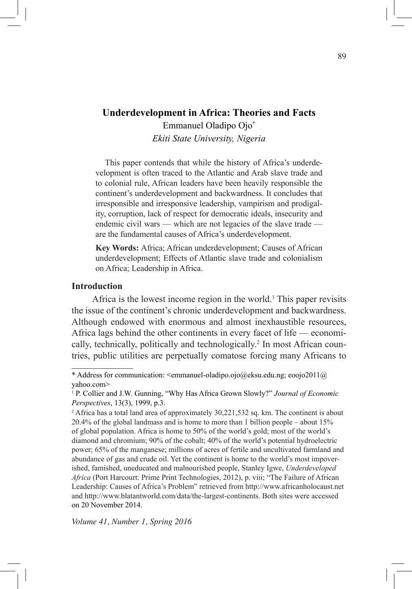Emmanuel Oladipo Ojo\* *Ekiti State University, Nigeria*

This paper contends that while the history of Africa's underdevelopment is often traced to the Atlantic and Arab slave trade and to colonial rule, African leaders have been heavily responsible the continent's underdevelopment and backwardness. It concludes that irresponsible and irresponsive leadership, vampirism and prodigality, corruption, lack of respect for democratic ideals, insecurity and endemic civil wars — which are not legacies of the slave trade are the fundamental causes of Africa's underdevelopment.

**Key Words:** Africa; African underdevelopment; Causes of African underdevelopment; Effects of Atlantic slave trade and colonialism on Africa; Leadership in Africa.

## **Introduction**

Africa is the lowest income region in the world.<sup>1</sup> This paper revisits the issue of the continent's chronic underdevelopment and backwardness. Although endowed with enormous and almost inexhaustible resources, Africa lags behind the other continents in every facet of life — economically, technically, politically and technologically.<sup>2</sup> In most African countries, public utilities are perpetually comatose forcing many Africans to

<sup>\*</sup> Address for communication:  $\leq$ emmanuel-oladipo.ojo@eksu.edu.ng; eoojo2011@ yahoo.com>

<sup>&</sup>lt;sup>1</sup> P. Collier and J.W. Gunning, "Why Has Africa Grown Slowly?" *Journal of Economic Perspectives*, 13(3), 1999, p.3.

<sup>&</sup>lt;sup>2</sup> Africa has a total land area of approximately 30,221,532 sq. km. The continent is about 20.4% of the global landmass and is home to more than 1 billion people – about 15% of global population. Africa is home to 50% of the world's gold; most of the world's diamond and chromium; 90% of the cobalt; 40% of the world's potential hydroelectric power; 65% of the manganese; millions of acres of fertile and uncultivated farmland and abundance of gas and crude oil. Yet the continent is home to the world's most impoverished, famished, uneducated and malnourished people, Stanley Igwe, *Underdeveloped Africa* (Port Harcourt: Prime Print Technologies, 2012), p. viii; "The Failure of African Leadership: Causes of Africa's Problem" retrieved from http://www.africanholocaust.net and http://www.blatantworld.com/data/the-largest-continents. Both sites were accessed on 20 November 2014.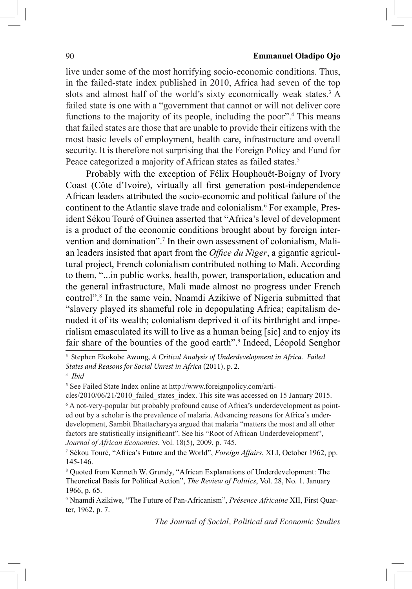#### 90 **Emmanuel Oladipo Ojo**

live under some of the most horrifying socio-economic conditions. Thus, in the failed-state index published in 2010, Africa had seven of the top slots and almost half of the world's sixty economically weak states.<sup>3</sup> A failed state is one with a "government that cannot or will not deliver core functions to the majority of its people, including the poor".<sup>4</sup> This means that failed states are those that are unable to provide their citizens with the most basic levels of employment, health care, infrastructure and overall security. It is therefore not surprising that the Foreign Policy and Fund for Peace categorized a majority of African states as failed states.<sup>5</sup>

Probably with the exception of Félix Houphouët-Boigny of Ivory Coast (Côte d'Ivoire), virtually all first generation post-independence African leaders attributed the socio-economic and political failure of the continent to the Atlantic slave trade and colonialism.6 For example, President Sékou Touré of Guinea asserted that "Africa's level of development is a product of the economic conditions brought about by foreign intervention and domination".<sup>7</sup> In their own assessment of colonialism, Malian leaders insisted that apart from the *Office du Niger*, a gigantic agricultural project, French colonialism contributed nothing to Mali. According to them, "...in public works, health, power, transportation, education and the general infrastructure, Mali made almost no progress under French control".<sup>8</sup> In the same vein, Nnamdi Azikiwe of Nigeria submitted that "slavery played its shameful role in depopulating Africa; capitalism denuded it of its wealth; colonialism deprived it of its birthright and imperialism emasculated its will to live as a human being [sic] and to enjoy its fair share of the bounties of the good earth".<sup>9</sup> Indeed, Léopold Senghor

<sup>3</sup> Stephen Ekokobe Awung, *A Critical Analysis of Underdevelopment in Africa. Failed States and Reasons for Social Unrest in Africa* (2011), p. 2.

<sup>4</sup> *Ibid*

<sup>5</sup> See Failed State Index online at http://www.foreignpolicy.com/arti-

cles/2010/06/21/2010\_failed\_states\_index. This site was accessed on 15 January 2015. <sup>6</sup> A not-very-popular but probably profound cause of Africa's underdevelopment as pointed out by a scholar is the prevalence of malaria. Advancing reasons for Africa's underdevelopment, Sambit Bhattacharyya argued that malaria "matters the most and all other factors are statistically insignificant". See his "Root of African Underdevelopment", *Journal of African Economies*, Vol. 18(5), 2009, p. 745.

<sup>7</sup> Sékou Touré, "Africa's Future and the World", *Foreign Affairs*, XLI, October 1962, pp. 145-146.

<sup>&</sup>lt;sup>8</sup> Quoted from Kenneth W. Grundy, "African Explanations of Underdevelopment: The Theoretical Basis for Political Action", *The Review of Politics*, Vol. 28, No. 1. January 1966, p. 65.

<sup>9</sup> Nnamdi Azikiwe, "The Future of Pan-Africanism", *Présence Africaine* XII, First Quarter, 1962, p. 7.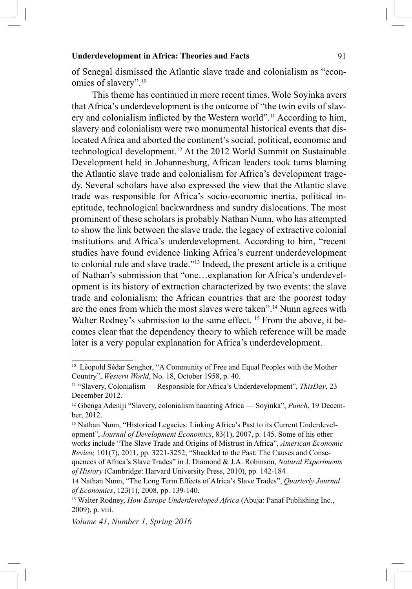of Senegal dismissed the Atlantic slave trade and colonialism as "economies of slavery".10

This theme has continued in more recent times. Wole Soyinka avers that Africa's underdevelopment is the outcome of "the twin evils of slavery and colonialism inflicted by the Western world".11 According to him, slavery and colonialism were two monumental historical events that dislocated Africa and aborted the continent's social, political, economic and technological development.<sup>12</sup> At the 2012 World Summit on Sustainable Development held in Johannesburg, African leaders took turns blaming the Atlantic slave trade and colonialism for Africa's development tragedy. Several scholars have also expressed the view that the Atlantic slave trade was responsible for Africa's socio-economic inertia, political ineptitude, technological backwardness and sundry dislocations. The most prominent of these scholars is probably Nathan Nunn, who has attempted to show the link between the slave trade, the legacy of extractive colonial institutions and Africa's underdevelopment. According to him, "recent studies have found evidence linking Africa's current underdevelopment to colonial rule and slave trade."13 Indeed, the present article is a critique of Nathan's submission that "one…explanation for Africa's underdevelopment is its history of extraction characterized by two events: the slave trade and colonialism: the African countries that are the poorest today are the ones from which the most slaves were taken".<sup>14</sup> Nunn agrees with Walter Rodney's submission to the same effect. <sup>15</sup> From the above, it becomes clear that the dependency theory to which reference will be made later is a very popular explanation for Africa's underdevelopment.

<sup>&</sup>lt;sup>10</sup> Léopold Sédar Senghor, "A Community of Free and Equal Peoples with the Mother Country", *Western World*, No. 18, October 1958, p. 40.

<sup>11</sup> "Slavery, Colonialism — Responsible for Africa's Underdevelopment", *ThisDay*, 23 December 2012.

<sup>12</sup> Gbenga Adeniji "Slavery, colonialism haunting Africa — Soyinka", *Punch*, 19 December, 2012.

<sup>&</sup>lt;sup>13</sup> Nathan Nunn, "Historical Legacies: Linking Africa's Past to its Current Underdevelopment", *Journal of Development Economics*, 83(1), 2007, p. 145. Some of his other works include "The Slave Trade and Origins of Mistrust in Africa", *American Economic Review,* 101(7), 2011, pp. 3221-3252; "Shackled to the Past: The Causes and Consequences of Africa's Slave Trades" in J. Diamond & J.A. Robinson, *Natural Experiments of History* (Cambridge: Harvard University Press, 2010), pp. 142-184

<sup>14</sup> Nathan Nunn, "The Long Term Effects of Africa's Slave Trades", *Quarterly Journal of Economics*, 123(1), 2008, pp. 139-140.

<sup>&</sup>lt;sup>15</sup> Walter Rodney, *How Europe Underdeveloped Africa* (Abuja: Panaf Publishing Inc., 2009), p. viii.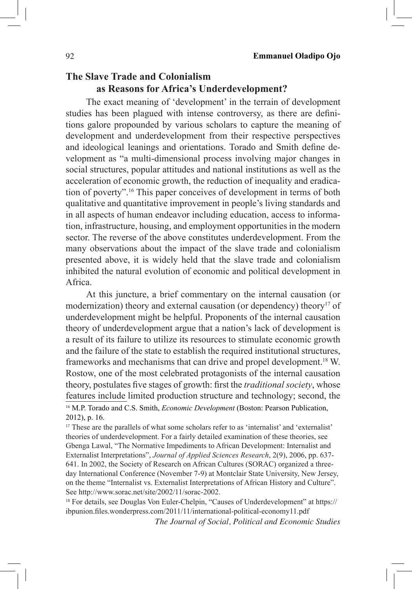# **The Slave Trade and Colonialism as Reasons for Africa's Underdevelopment?**

The exact meaning of 'development' in the terrain of development studies has been plagued with intense controversy, as there are definitions galore propounded by various scholars to capture the meaning of development and underdevelopment from their respective perspectives and ideological leanings and orientations. Torado and Smith define development as "a multi-dimensional process involving major changes in social structures, popular attitudes and national institutions as well as the acceleration of economic growth, the reduction of inequality and eradication of poverty".16 This paper conceives of development in terms of both qualitative and quantitative improvement in people's living standards and in all aspects of human endeavor including education, access to information, infrastructure, housing, and employment opportunities in the modern sector. The reverse of the above constitutes underdevelopment. From the many observations about the impact of the slave trade and colonialism presented above, it is widely held that the slave trade and colonialism inhibited the natural evolution of economic and political development in Africa.

At this juncture, a brief commentary on the internal causation (or modernization) theory and external causation (or dependency) theory<sup>17</sup> of underdevelopment might be helpful. Proponents of the internal causation theory of underdevelopment argue that a nation's lack of development is a result of its failure to utilize its resources to stimulate economic growth and the failure of the state to establish the required institutional structures, frameworks and mechanisms that can drive and propel development.18 W. Rostow, one of the most celebrated protagonists of the internal causation theory, postulates five stages of growth: first the *traditional society*, whose features include limited production structure and technology; second, the <sup>16</sup> M.P. Torado and C.S. Smith, *Economic Development* (Boston: Pearson Publication,

2012), p. 16.

<sup>17</sup> These are the parallels of what some scholars refer to as 'internalist' and 'externalist' theories of underdevelopment. For a fairly detailed examination of these theories, see Gbenga Lawal, "The Normative Impediments to African Development: Internalist and Externalist Interpretations", *Journal of Applied Sciences Research*, 2(9), 2006, pp. 637- 641. In 2002, the Society of Research on African Cultures (SORAC) organized a threeday International Conference (November 7-9) at Montclair State University, New Jersey, on the theme "Internalist vs. Externalist Interpretations of African History and Culture". See http://www.sorac.net/site/2002/11/sorac-2002.

<sup>18</sup> For details, see Douglas Von Euler-Chelpin, "Causes of Underdevelopment" at https:// ibpunion.files.wonderpress.com/2011/11/international-political-economy11.pdf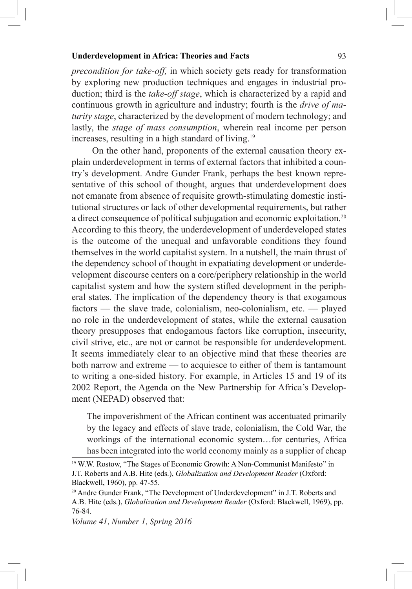*precondition for take-off,* in which society gets ready for transformation by exploring new production techniques and engages in industrial production; third is the *take-off stage*, which is characterized by a rapid and continuous growth in agriculture and industry; fourth is the *drive of maturity stage*, characterized by the development of modern technology; and lastly, the *stage of mass consumption*, wherein real income per person increases, resulting in a high standard of living.<sup>19</sup>

On the other hand, proponents of the external causation theory explain underdevelopment in terms of external factors that inhibited a country's development. Andre Gunder Frank, perhaps the best known representative of this school of thought, argues that underdevelopment does not emanate from absence of requisite growth-stimulating domestic institutional structures or lack of other developmental requirements, but rather a direct consequence of political subjugation and economic exploitation.<sup>20</sup> According to this theory, the underdevelopment of underdeveloped states is the outcome of the unequal and unfavorable conditions they found themselves in the world capitalist system. In a nutshell, the main thrust of the dependency school of thought in expatiating development or underdevelopment discourse centers on a core/periphery relationship in the world capitalist system and how the system stifled development in the peripheral states. The implication of the dependency theory is that exogamous factors — the slave trade, colonialism, neo-colonialism, etc. — played no role in the underdevelopment of states, while the external causation theory presupposes that endogamous factors like corruption, insecurity, civil strive, etc., are not or cannot be responsible for underdevelopment. It seems immediately clear to an objective mind that these theories are both narrow and extreme — to acquiesce to either of them is tantamount to writing a one-sided history. For example, in Articles 15 and 19 of its 2002 Report, the Agenda on the New Partnership for Africa's Development (NEPAD) observed that:

The impoverishment of the African continent was accentuated primarily by the legacy and effects of slave trade, colonialism, the Cold War, the workings of the international economic system…for centuries, Africa has been integrated into the world economy mainly as a supplier of cheap

<sup>&</sup>lt;sup>19</sup> W.W. Rostow, "The Stages of Economic Growth: A Non-Communist Manifesto" in J.T. Roberts and A.B. Hite (eds.), *Globalization and Development Reader* (Oxford: Blackwell, 1960), pp. 47-55.

<sup>&</sup>lt;sup>20</sup> Andre Gunder Frank, "The Development of Underdevelopment" in J.T. Roberts and A.B. Hite (eds.), *Globalization and Development Reader* (Oxford: Blackwell, 1969), pp. 76-84.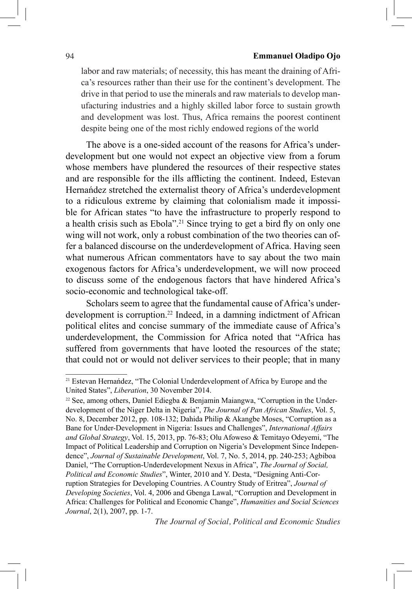### 94 **Emmanuel Oladipo Ojo**

labor and raw materials; of necessity, this has meant the draining of Africa's resources rather than their use for the continent's development. The drive in that period to use the minerals and raw materials to develop manufacturing industries and a highly skilled labor force to sustain growth and development was lost. Thus, Africa remains the poorest continent despite being one of the most richly endowed regions of the world

The above is a one-sided account of the reasons for Africa's underdevelopment but one would not expect an objective view from a forum whose members have plundered the resources of their respective states and are responsible for the ills afflicting the continent. Indeed, Estevan Hernańdez stretched the externalist theory of Africa's underdevelopment to a ridiculous extreme by claiming that colonialism made it impossible for African states "to have the infrastructure to properly respond to a health crisis such as Ebola".21 Since trying to get a bird fly on only one wing will not work, only a robust combination of the two theories can offer a balanced discourse on the underdevelopment of Africa. Having seen what numerous African commentators have to say about the two main exogenous factors for Africa's underdevelopment, we will now proceed to discuss some of the endogenous factors that have hindered Africa's socio-economic and technological take-off.

Scholars seem to agree that the fundamental cause of Africa's underdevelopment is corruption.22 Indeed, in a damning indictment of African political elites and concise summary of the immediate cause of Africa's underdevelopment, the Commission for Africa noted that "Africa has suffered from governments that have looted the resources of the state; that could not or would not deliver services to their people; that in many

<sup>21</sup> Estevan Hernańdez, "The Colonial Underdevelopment of Africa by Europe and the United States", *Liberation*, 30 November 2014.

<sup>22</sup> See, among others, Daniel Ediegba & Benjamin Maiangwa, "Corruption in the Underdevelopment of the Niger Delta in Nigeria", *The Journal of Pan African Studies*, Vol. 5, No. 8, December 2012, pp. 108-132; Dahida Philip & Akangbe Moses, "Corruption as a Bane for Under-Development in Nigeria: Issues and Challenges", *International Affairs and Global Strategy*, Vol. 15, 2013, pp. 76-83; Olu Afoweso & Temitayo Odeyemi, "The Impact of Political Leadership and Corruption on Nigeria's Development Since Independence", *Journal of Sustainable Development*, Vol. 7, No. 5, 2014, pp. 240-253; Agbiboa Daniel, "The Corruption-Underdevelopment Nexus in Africa", *The Journal of Social, Political and Economic Studies*", Winter, 2010 and Y. Desta, "Designing Anti-Corruption Strategies for Developing Countries. A Country Study of Eritrea", *Journal of Developing Societies*, Vol. 4, 2006 and Gbenga Lawal, "Corruption and Development in Africa: Challenges for Political and Economic Change", *Humanities and Social Sciences Journal*, 2(1), 2007, pp. 1-7.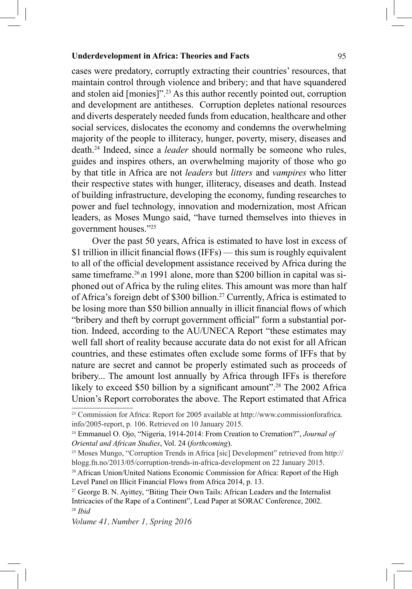cases were predatory, corruptly extracting their countries' resources, that maintain control through violence and bribery; and that have squandered and stolen aid [monies]".23 As this author recently pointed out, corruption and development are antitheses. Corruption depletes national resources and diverts desperately needed funds from education, healthcare and other social services, dislocates the economy and condemns the overwhelming majority of the people to illiteracy, hunger, poverty, misery, diseases and death.24 Indeed, since a *leader* should normally be someone who rules, guides and inspires others, an overwhelming majority of those who go by that title in Africa are not *leaders* but *litters* and *vampires* who litter their respective states with hunger, illiteracy, diseases and death. Instead of building infrastructure, developing the economy, funding researches to power and fuel technology, innovation and modernization, most African leaders, as Moses Mungo said, "have turned themselves into thieves in government houses."25

Over the past 50 years, Africa is estimated to have lost in excess of \$1 trillion in illicit financial flows (IFFs) — this sum is roughly equivalent to all of the official development assistance received by Africa during the same timeframe.<sup>26</sup> In 1991 alone, more than \$200 billion in capital was siphoned out of Africa by the ruling elites. This amount was more than half of Africa's foreign debt of \$300 billion.27 Currently, Africa is estimated to be losing more than \$50 billion annually in illicit financial flows of which "bribery and theft by corrupt government official" form a substantial portion. Indeed, according to the AU/UNECA Report "these estimates may well fall short of reality because accurate data do not exist for all African countries, and these estimates often exclude some forms of IFFs that by nature are secret and cannot be properly estimated such as proceeds of bribery... The amount lost annually by Africa through IFFs is therefore likely to exceed \$50 billion by a significant amount"<sup>28</sup> The 2002 Africa Union's Report corroborates the above. The Report estimated that Africa

<sup>23</sup> Commission for Africa: Report for 2005 available at http://www.commissionforafrica. info/2005-report, p. 106. Retrieved on 10 January 2015.

<sup>24</sup> Emmanuel O. Ojo, "Nigeria, 1914-2014: From Creation to Cremation?", *Journal of Oriental and African Studies*, Vol. 24 (*forthcoming*).

<sup>&</sup>lt;sup>25</sup> Moses Mungo, "Corruption Trends in Africa [sic] Development" retrieved from http:// blogg.fn.no/2013/05/corruption-trends-in-africa-development on 22 January 2015.

<sup>&</sup>lt;sup>26</sup> African Union/United Nations Economic Commission for Africa: Report of the High Level Panel on Illicit Financial Flows from Africa 2014, p. 13.

<sup>&</sup>lt;sup>27</sup> George B. N. Ayittey, "Biting Their Own Tails: African Leaders and the Internalist Intricacies of the Rape of a Continent", Lead Paper at SORAC Conference, 2002. <sup>28</sup> *Ibid*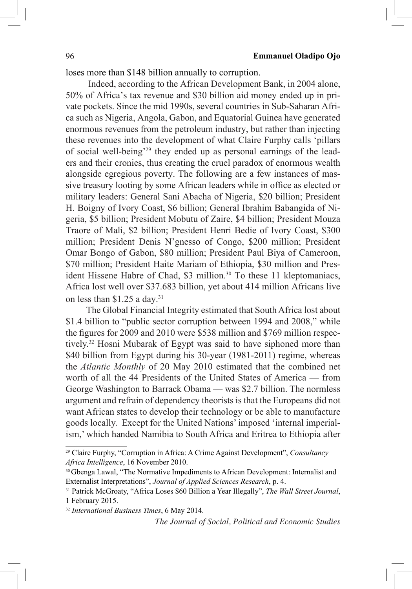loses more than \$148 billion annually to corruption.

Indeed, according to the African Development Bank, in 2004 alone, 50% of Africa's tax revenue and \$30 billion aid money ended up in private pockets. Since the mid 1990s, several countries in Sub-Saharan Africa such as Nigeria, Angola, Gabon, and Equatorial Guinea have generated enormous revenues from the petroleum industry, but rather than injecting these revenues into the development of what Claire Furphy calls 'pillars of social well-being'29 they ended up as personal earnings of the leaders and their cronies, thus creating the cruel paradox of enormous wealth alongside egregious poverty. The following are a few instances of massive treasury looting by some African leaders while in office as elected or military leaders: General Sani Abacha of Nigeria, \$20 billion; President H. Boigny of Ivory Coast, \$6 billion; General Ibrahim Babangida of Nigeria, \$5 billion; President Mobutu of Zaire, \$4 billion; President Mouza Traore of Mali, \$2 billion; President Henri Bedie of Ivory Coast, \$300 million; President Denis N'gnesso of Congo, \$200 million; President Omar Bongo of Gabon, \$80 million; President Paul Biya of Cameroon, \$70 million; President Haite Mariam of Ethiopia, \$30 million and President Hissene Habre of Chad, \$3 million.<sup>30</sup> To these 11 kleptomaniacs, Africa lost well over \$37.683 billion, yet about 414 million Africans live on less than \$1.25 a day.31

The Global Financial Integrity estimated that South Africa lost about \$1.4 billion to "public sector corruption between 1994 and 2008," while the figures for 2009 and 2010 were \$538 million and \$769 million respectively.<sup>32</sup> Hosni Mubarak of Egypt was said to have siphoned more than \$40 billion from Egypt during his 30-year (1981-2011) regime, whereas the *Atlantic Monthly* of 20 May 2010 estimated that the combined net worth of all the 44 Presidents of the United States of America — from George Washington to Barrack Obama — was \$2.7 billion. The normless argument and refrain of dependency theorists is that the Europeans did not want African states to develop their technology or be able to manufacture goods locally. Except for the United Nations' imposed 'internal imperialism,' which handed Namibia to South Africa and Eritrea to Ethiopia after

<sup>29</sup> Claire Furphy, "Corruption in Africa: A Crime Against Development", *Consultancy Africa Intelligence*, 16 November 2010.

<sup>30</sup> Gbenga Lawal, "The Normative Impediments to African Development: Internalist and Externalist Interpretations", *Journal of Applied Sciences Research*, p. 4.

<sup>31</sup> Patrick McGroaty, "Africa Loses \$60 Billion a Year Illegally", *The Wall Street Journal*, 1 February 2015.

<sup>32</sup> *International Business Times*, 6 May 2014.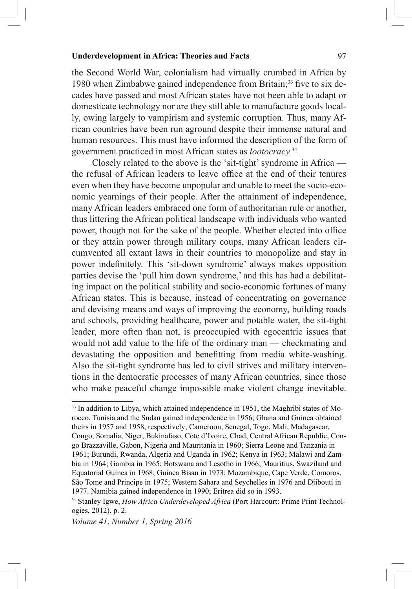the Second World War, colonialism had virtually crumbed in Africa by 1980 when Zimbabwe gained independence from Britain;<sup>33</sup> five to six decades have passed and most African states have not been able to adapt or domesticate technology nor are they still able to manufacture goods locally, owing largely to vampirism and systemic corruption. Thus, many African countries have been run aground despite their immense natural and human resources. This must have informed the description of the form of government practiced in most African states as *lootocracy.*34

Closely related to the above is the 'sit-tight' syndrome in Africa the refusal of African leaders to leave office at the end of their tenures even when they have become unpopular and unable to meet the socio-economic yearnings of their people. After the attainment of independence, many African leaders embraced one form of authoritarian rule or another, thus littering the African political landscape with individuals who wanted power, though not for the sake of the people. Whether elected into office or they attain power through military coups, many African leaders circumvented all extant laws in their countries to monopolize and stay in power indefinitely. This 'sit-down syndrome' always makes opposition parties devise the 'pull him down syndrome,' and this has had a debilitating impact on the political stability and socio-economic fortunes of many African states. This is because, instead of concentrating on governance and devising means and ways of improving the economy, building roads and schools, providing healthcare, power and potable water, the sit-tight leader, more often than not, is preoccupied with egocentric issues that would not add value to the life of the ordinary man — checkmating and devastating the opposition and benefitting from media white-washing. Also the sit-tight syndrome has led to civil strives and military interventions in the democratic processes of many African countries, since those who make peaceful change impossible make violent change inevitable.

<sup>&</sup>lt;sup>33</sup> In addition to Libya, which attained independence in 1951, the Maghribi states of Morocco, Tunisia and the Sudan gained independence in 1956; Ghana and Guinea obtained theirs in 1957 and 1958, respectively; Cameroon, Senegal, Togo, Mali, Madagascar, Congo, Somalia, Niger, Bukinafaso, Cỏte d'Ivoire, Chad, Central African Republic, Congo Brazzaville, Gabon, Nigeria and Mauritania in 1960; Sierra Leone and Tanzania in 1961; Burundi, Rwanda, Algeria and Uganda in 1962; Kenya in 1963; Malawi and Zambia in 1964; Gambia in 1965; Botswana and Lesotho in 1966; Mauritius, Swaziland and Equatorial Guinea in 1968; Guinea Bisau in 1973; Mozambique, Cape Verde, Comoros, São Tome and Principe in 1975; Western Sahara and Seychelles in 1976 and Djibouti in 1977. Namibia gained independence in 1990; Eritrea did so in 1993.

<sup>34</sup> Stanley Igwe, *How Africa Underdeveloped Africa* (Port Harcourt: Prime Print Technologies, 2012), p. 2.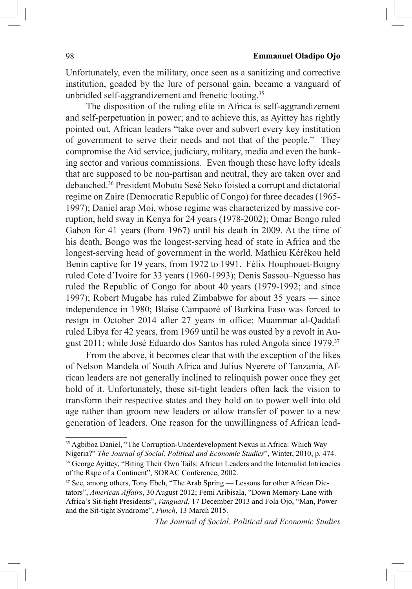Unfortunately, even the military, once seen as a sanitizing and corrective institution, goaded by the lure of personal gain, became a vanguard of unbridled self-aggrandizement and frenetic looting.35

The disposition of the ruling elite in Africa is self-aggrandizement and self-perpetuation in power; and to achieve this, as Ayittey has rightly pointed out, African leaders "take over and subvert every key institution of government to serve their needs and not that of the people." They compromise the Aid service, judiciary, military, media and even the banking sector and various commissions. Even though these have lofty ideals that are supposed to be non-partisan and neutral, they are taken over and debauched.36 President Mobutu Sesé Seko foisted a corrupt and dictatorial regime on Zaire (Democratic Republic of Congo) for three decades (1965- 1997); Daniel arap Moi, whose regime was characterized by massive corruption, held sway in Kenya for 24 years (1978-2002); Omar Bongo ruled Gabon for 41 years (from 1967) until his death in 2009. At the time of his death, Bongo was the longest-serving head of state in Africa and the longest-serving head of government in the world. Mathieu Kérékou held Benin captive for 19 years, from 1972 to 1991. Félix Houphouet-Boigny ruled Cote d'Ivoire for 33 years (1960-1993); Denis Sassou–Nguesso has ruled the Republic of Congo for about 40 years (1979-1992; and since 1997); Robert Mugabe has ruled Zimbabwe for about 35 years — since independence in 1980; Blaise Campaoré of Burkina Faso was forced to resign in October 2014 after 27 years in office; Muammar al-Qaddafi ruled Libya for 42 years, from 1969 until he was ousted by a revolt in August 2011; while José Eduardo dos Santos has ruled Angola since 1979.37

From the above, it becomes clear that with the exception of the likes of Nelson Mandela of South Africa and Julius Nyerere of Tanzania, African leaders are not generally inclined to relinquish power once they get hold of it. Unfortunately, these sit-tight leaders often lack the vision to transform their respective states and they hold on to power well into old age rather than groom new leaders or allow transfer of power to a new generation of leaders. One reason for the unwillingness of African lead-

<sup>&</sup>lt;sup>35</sup> Agbiboa Daniel, "The Corruption-Underdevelopment Nexus in Africa: Which Way

Nigeria?" *The Journal of Social, Political and Economic Studies*", Winter, 2010, p. 474. <sup>36</sup> George Ayittey, "Biting Their Own Tails: African Leaders and the Internalist Intricacies of the Rape of a Continent", SORAC Conference, 2002.

<sup>&</sup>lt;sup>37</sup> See, among others, Tony Ebeh, "The Arab Spring — Lessons for other African Dictators", *American Affairs*, 30 August 2012; Femi Aribisala, "Down Memory-Lane with Africa's Sit-tight Presidents", *Vanguard*, 17 December 2013 and Fola Ojo, "Man, Power and the Sit-tight Syndrome", *Punch*, 13 March 2015.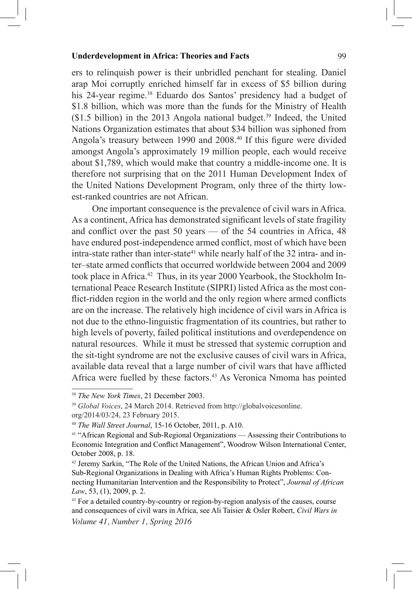ers to relinquish power is their unbridled penchant for stealing. Daniel arap Moi corruptly enriched himself far in excess of \$5 billion during his 24-year regime.<sup>38</sup> Eduardo dos Santos' presidency had a budget of \$1.8 billion, which was more than the funds for the Ministry of Health  $$1.5$  billion) in the 2013 Angola national budget.<sup>39</sup> Indeed, the United Nations Organization estimates that about \$34 billion was siphoned from Angola's treasury between 1990 and 2008.<sup>40</sup> If this figure were divided amongst Angola's approximately 19 million people, each would receive about \$1,789, which would make that country a middle-income one. It is therefore not surprising that on the 2011 Human Development Index of the United Nations Development Program, only three of the thirty lowest-ranked countries are not African.

One important consequence is the prevalence of civil wars in Africa. As a continent, Africa has demonstrated significant levels of state fragility and conflict over the past 50 years — of the 54 countries in Africa, 48 have endured post-independence armed conflict, most of which have been intra-state rather than inter-state<sup>41</sup> while nearly half of the 32 intra- and inter–state armed conflicts that occurred worldwide between 2004 and 2009 took place in Africa.<sup>42</sup> Thus, in its year 2000 Yearbook, the Stockholm International Peace Research Institute (SIPRI) listed Africa as the most conflict-ridden region in the world and the only region where armed conflicts are on the increase. The relatively high incidence of civil wars in Africa is not due to the ethno-linguistic fragmentation of its countries, but rather to high levels of poverty, failed political institutions and overdependence on natural resources. While it must be stressed that systemic corruption and the sit-tight syndrome are not the exclusive causes of civil wars in Africa, available data reveal that a large number of civil wars that have afflicted Africa were fuelled by these factors.<sup>43</sup> As Veronica Nmoma has pointed

<sup>38</sup> *The New York Times*, 21 December 2003.

<sup>39</sup> *Global Voices*, 24 March 2014. Retrieved from http://globalvoicesonline.

org/2014/03/24, 23 February 2015.

<sup>40</sup> *The Wall Street Journal*, 15-16 October, 2011, p. A10.

<sup>&</sup>lt;sup>41</sup> "African Regional and Sub-Regional Organizations — Assessing their Contributions to Economic Integration and Conflict Management", Woodrow Wilson International Center, October 2008, p. 18.

<sup>42</sup> Jeremy Sarkin, "The Role of the United Nations, the African Union and Africa's Sub-Regional Organizations in Dealing with Africa's Human Rights Problems: Connecting Humanitarian Intervention and the Responsibility to Protect", *Journal of African Law*, 53, (1), 2009, p. 2.

*Volume 41, Number 1, Spring 2016* <sup>43</sup> For a detailed country-by-country or region-by-region analysis of the causes, course and consequences of civil wars in Africa, see Ali Taisier & Osler Robert, *Civil Wars in*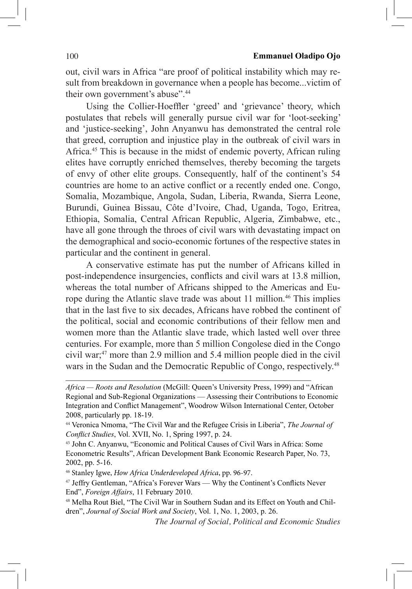out, civil wars in Africa "are proof of political instability which may result from breakdown in governance when a people has become...victim of their own government's abuse".<sup>44</sup>

Using the Collier-Hoeffler 'greed' and 'grievance' theory, which postulates that rebels will generally pursue civil war for 'loot-seeking' and 'justice-seeking', John Anyanwu has demonstrated the central role that greed, corruption and injustice play in the outbreak of civil wars in Africa.45 This is because in the midst of endemic poverty, African ruling elites have corruptly enriched themselves, thereby becoming the targets of envy of other elite groups. Consequently, half of the continent's 54 countries are home to an active conflict or a recently ended one. Congo, Somalia, Mozambique, Angola, Sudan, Liberia, Rwanda, Sierra Leone, Burundi, Guinea Bissau, Côte d'Ivoire, Chad, Uganda, Togo, Eritrea, Ethiopia, Somalia, Central African Republic, Algeria, Zimbabwe, etc., have all gone through the throes of civil wars with devastating impact on the demographical and socio-economic fortunes of the respective states in particular and the continent in general.

A conservative estimate has put the number of Africans killed in post-independence insurgencies, conflicts and civil wars at 13.8 million, whereas the total number of Africans shipped to the Americas and Europe during the Atlantic slave trade was about 11 million.<sup>46</sup> This implies that in the last five to six decades, Africans have robbed the continent of the political, social and economic contributions of their fellow men and women more than the Atlantic slave trade, which lasted well over three centuries. For example, more than 5 million Congolese died in the Congo civil war;47 more than 2.9 million and 5.4 million people died in the civil wars in the Sudan and the Democratic Republic of Congo, respectively.<sup>48</sup>

<sup>46</sup> Stanley Igwe, *How Africa Underdeveloped Africa*, pp. 96-97.<br><sup>47</sup> Jeffry Gentleman, "Africa's Forever Wars — Why the Continent's Conflicts Never End", *Foreign Affairs*, 11 February 2010.

*Africa — Roots and Resolution* (McGill: Queen's University Press, 1999) and "African Regional and Sub-Regional Organizations — Assessing their Contributions to Economic Integration and Conflict Management", Woodrow Wilson International Center, October 2008, particularly pp. 18-19.

<sup>44</sup> Veronica Nmoma, "The Civil War and the Refugee Crisis in Liberia", *The Journal of Conflict Studies*, Vol. XVII, No. 1, Spring 1997, p. 24.

<sup>45</sup> John C. Anyanwu, "Economic and Political Causes of Civil Wars in Africa: Some Econometric Results", African Development Bank Economic Research Paper, No. 73, 2002, pp. 5-16.

<sup>48</sup> Melha Rout Biel, "The Civil War in Southern Sudan and its Effect on Youth and Children", *Journal of Social Work and Society*, Vol. 1, No. 1, 2003, p. 26.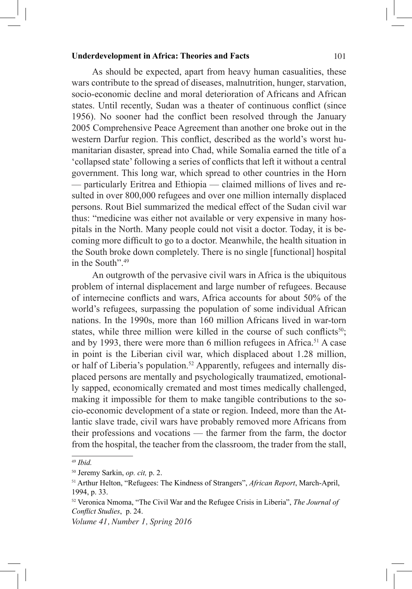As should be expected, apart from heavy human casualities, these wars contribute to the spread of diseases, malnutrition, hunger, starvation, socio-economic decline and moral deterioration of Africans and African states. Until recently, Sudan was a theater of continuous conflict (since 1956). No sooner had the conflict been resolved through the January 2005 Comprehensive Peace Agreement than another one broke out in the western Darfur region. This conflict, described as the world's worst humanitarian disaster, spread into Chad, while Somalia earned the title of a 'collapsed state' following a series of conflicts that left it without a central government. This long war, which spread to other countries in the Horn — particularly Eritrea and Ethiopia — claimed millions of lives and resulted in over 800,000 refugees and over one million internally displaced persons. Rout Biel summarized the medical effect of the Sudan civil war thus: "medicine was either not available or very expensive in many hospitals in the North. Many people could not visit a doctor. Today, it is becoming more difficult to go to a doctor. Meanwhile, the health situation in the South broke down completely. There is no single [functional] hospital in the South".<sup>49</sup>

An outgrowth of the pervasive civil wars in Africa is the ubiquitous problem of internal displacement and large number of refugees. Because of internecine conflicts and wars, Africa accounts for about 50% of the world's refugees, surpassing the population of some individual African nations. In the 1990s, more than 160 million Africans lived in war-torn states, while three million were killed in the course of such conflicts $50$ ; and by 1993, there were more than 6 million refugees in Africa.<sup>51</sup> A case in point is the Liberian civil war, which displaced about 1.28 million, or half of Liberia's population.<sup>52</sup> Apparently, refugees and internally displaced persons are mentally and psychologically traumatized, emotionally sapped, economically cremated and most times medically challenged, making it impossible for them to make tangible contributions to the socio-economic development of a state or region. Indeed, more than the Atlantic slave trade, civil wars have probably removed more Africans from their professions and vocations — the farmer from the farm, the doctor from the hospital, the teacher from the classroom, the trader from the stall,

<sup>49</sup> *Ibid.*

<sup>50</sup> Jeremy Sarkin, *op. cit,* p. 2.

<sup>51</sup> Arthur Helton, "Refugees: The Kindness of Strangers", *African Report*, March-April, 1994, p. 33.

<sup>52</sup> Veronica Nmoma, "The Civil War and the Refugee Crisis in Liberia", *The Journal of Conflict Studies*, p. 24.

*Volume 41, Number 1, Spring 2016*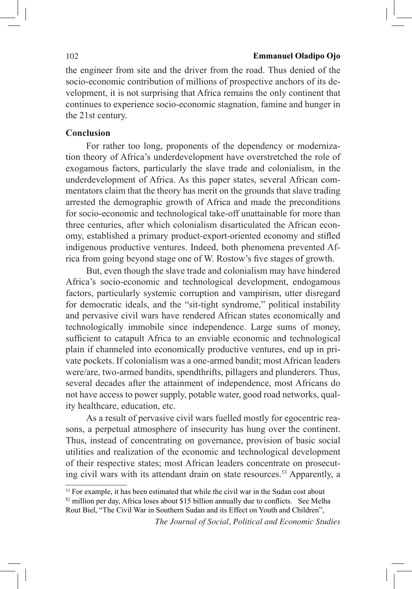#### 102 **Emmanuel Oladipo Ojo**

the engineer from site and the driver from the road. Thus denied of the socio-economic contribution of millions of prospective anchors of its development, it is not surprising that Africa remains the only continent that continues to experience socio-economic stagnation, famine and hunger in the 21st century.

# **Conclusion**

For rather too long, proponents of the dependency or modernization theory of Africa's underdevelopment have overstretched the role of exogamous factors, particularly the slave trade and colonialism, in the underdevelopment of Africa. As this paper states, several African commentators claim that the theory has merit on the grounds that slave trading arrested the demographic growth of Africa and made the preconditions for socio-economic and technological take-off unattainable for more than three centuries, after which colonialism disarticulated the African economy, established a primary product-export-oriented economy and stifled indigenous productive ventures. Indeed, both phenomena prevented Africa from going beyond stage one of W. Rostow's five stages of growth.

But, even though the slave trade and colonialism may have hindered Africa's socio-economic and technological development, endogamous factors, particularly systemic corruption and vampirism, utter disregard for democratic ideals, and the "sit-tight syndrome," political instability and pervasive civil wars have rendered African states economically and technologically immobile since independence. Large sums of money, sufficient to catapult Africa to an enviable economic and technological plain if channeled into economically productive ventures, end up in private pockets. If colonialism was a one-armed bandit; most African leaders were/are, two-armed bandits, spendthrifts, pillagers and plunderers. Thus, several decades after the attainment of independence, most Africans do not have access to power supply, potable water, good road networks, quality healthcare, education, etc.

As a result of pervasive civil wars fuelled mostly for egocentric reasons, a perpetual atmosphere of insecurity has hung over the continent. Thus, instead of concentrating on governance, provision of basic social utilities and realization of the economic and technological development of their respective states; most African leaders concentrate on prosecuting civil wars with its attendant drain on state resources.<sup>53</sup> Apparently, a

<sup>&</sup>lt;sup>53</sup> For example, it has been estimated that while the civil war in the Sudan cost about  $\frac{1}{2}$  million per day, Africa loses about \$15 billion annually due to conflicts. See Melha Rout Biel, "The Civil War in Southern Sudan and its Effect on Youth and Children",